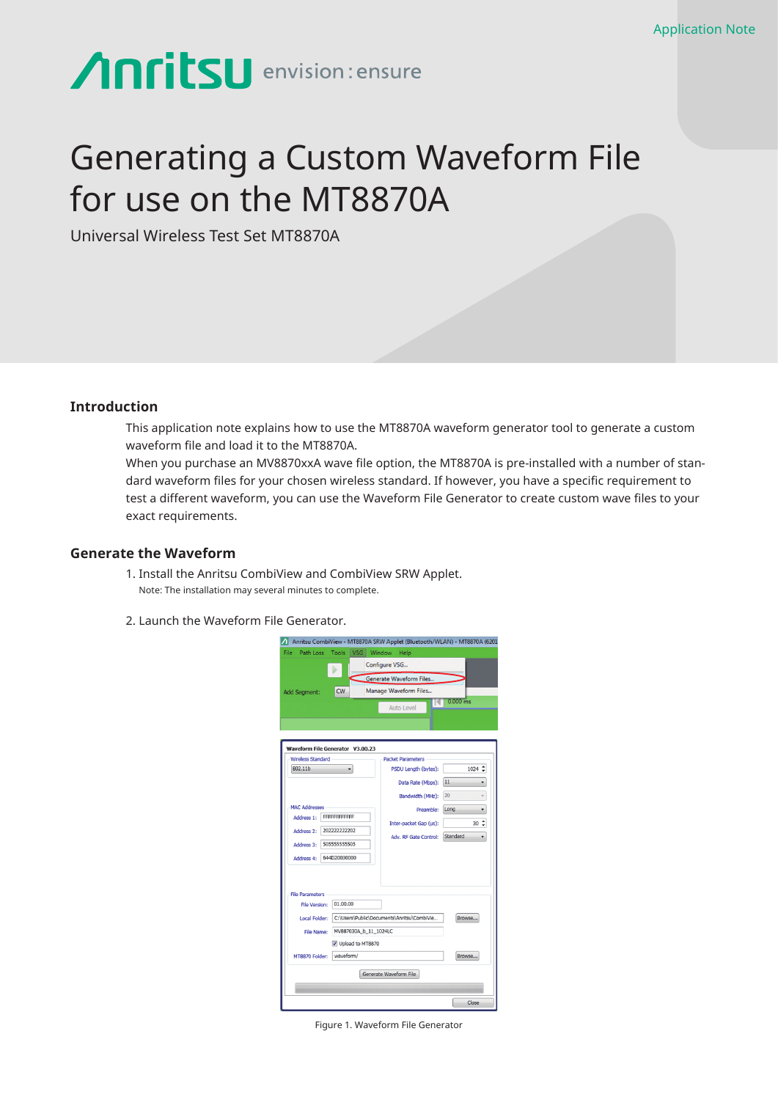# **Anritsu** envision: ensure

## Generating a Custom Waveform File for use on the MT8870A

Universal Wireless Test Set MT8870A

#### **Introduction**

This application note explains how to use the MT8870A waveform generator tool to generate a custom waveform file and load it to the MT8870A.

When you purchase an MV8870xxA wave file option, the MT8870A is pre-installed with a number of standard waveform files for your chosen wireless standard. If however, you have a specific requirement to test a different waveform, you can use the Waveform File Generator to create custom wave files to your exact requirements.

#### **Generate the Waveform**

- 1. Install the Anritsu CombiView and CombiView SRW Applet. Note: The installation may several minutes to complete.
- 2. Launch the Waveform File Generator.

| File<br>Path Loss          | Tools                            | VSG Window Help                                  |             |
|----------------------------|----------------------------------|--------------------------------------------------|-------------|
|                            |                                  | Configure VSG                                    |             |
|                            |                                  | Generate Waveform Files                          |             |
| Add Segment:               | <b>CW</b>                        | Manage Waveform Files                            |             |
|                            |                                  | 14<br><b>Auto Level</b>                          | $0.000$ ms  |
|                            |                                  |                                                  |             |
|                            |                                  |                                                  |             |
|                            |                                  |                                                  |             |
| <b>Wireless Standard</b>   | Waveform File Generator V3.00.23 |                                                  |             |
| 802.11b                    | ۰                                | <b>Packet Parameters</b><br>PSDU Length (bytes): | $1024 \div$ |
|                            |                                  |                                                  | 11          |
|                            |                                  | Data Rate (Mbps):                                | ۰           |
|                            |                                  | Bandwidth (MHz):                                 | 20<br>$\;$  |
| <b>MAC Addresses</b>       |                                  | Preamble:                                        | Long<br>۰   |
| FFFFFFFFFFFF<br>Address 1: |                                  | Inter-packet Gap (us):                           | $30 \div$   |
| 202222222202<br>Address 2: |                                  | Adv. RF Gate Control: Standard                   | ۰.          |
| Address 3:                 | 505555555505                     |                                                  |             |
| Address 4:                 | 644D20030000                     |                                                  |             |
|                            |                                  |                                                  |             |
|                            |                                  |                                                  |             |
| <b>File Parameters</b>     |                                  |                                                  |             |
| File Version:              | 01.00.00                         |                                                  |             |
| Local Folder:              |                                  | C:\Users\Public\Documents\Anritsu\CombiVie       | Browse      |
| File Name:                 | MV887030A_b_11_1024LC            |                                                  |             |
|                            | V Upload to MT8870               |                                                  |             |
|                            | waveform/                        |                                                  | Browse      |
| MT8870 Folder:             |                                  |                                                  |             |
|                            |                                  |                                                  |             |
|                            |                                  | Generate Waveform File                           |             |

Figure 1. Waveform File Generator